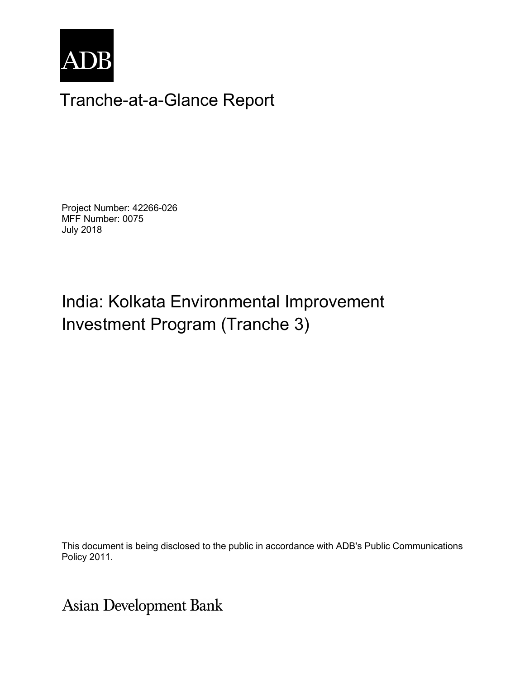

## Tranche-at-a-Glance Report

Project Number: 42266-026 MFF Number: 0075 July 2018

# India: Kolkata Environmental Improvement Investment Program (Tranche 3)

This document is being disclosed to the public in accordance with ADB's Public Communications Policy 2011.

**Asian Development Bank**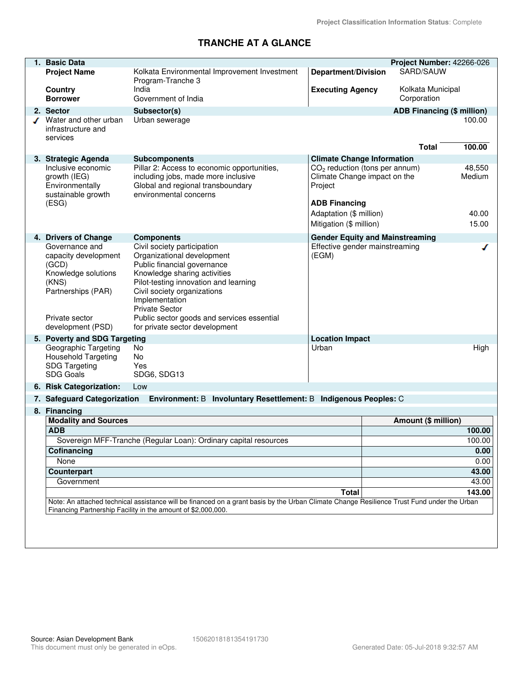#### **TRANCHE AT A GLANCE**

| 1. Basic Data                                                                                                                              |                                                                                    |                                                                  | Project Number: 42266-026         |                  |  |  |
|--------------------------------------------------------------------------------------------------------------------------------------------|------------------------------------------------------------------------------------|------------------------------------------------------------------|-----------------------------------|------------------|--|--|
| <b>Project Name</b>                                                                                                                        | Kolkata Environmental Improvement Investment                                       | <b>Department/Division</b>                                       | SARD/SAUW                         |                  |  |  |
|                                                                                                                                            | Program-Tranche 3                                                                  |                                                                  |                                   |                  |  |  |
| Country                                                                                                                                    | India                                                                              | <b>Executing Agency</b>                                          | Kolkata Municipal                 |                  |  |  |
| <b>Borrower</b>                                                                                                                            | Government of India                                                                |                                                                  | Corporation                       |                  |  |  |
| 2. Sector                                                                                                                                  | Subsector(s)                                                                       |                                                                  | <b>ADB Financing (\$ million)</b> |                  |  |  |
| Water and other urban                                                                                                                      | Urban sewerage                                                                     |                                                                  |                                   | 100.00           |  |  |
| infrastructure and                                                                                                                         |                                                                                    |                                                                  |                                   |                  |  |  |
| services                                                                                                                                   |                                                                                    |                                                                  |                                   |                  |  |  |
|                                                                                                                                            |                                                                                    |                                                                  | <b>Total</b>                      | 100.00           |  |  |
| 3. Strategic Agenda                                                                                                                        | <b>Subcomponents</b>                                                               | <b>Climate Change Information</b>                                |                                   |                  |  |  |
| Inclusive economic                                                                                                                         | Pillar 2: Access to economic opportunities,<br>including jobs, made more inclusive | $CO2$ reduction (tons per annum)<br>Climate Change impact on the |                                   | 48,550<br>Medium |  |  |
| growth (IEG)<br>Environmentally                                                                                                            | Global and regional transboundary                                                  | Project                                                          |                                   |                  |  |  |
| sustainable growth                                                                                                                         | environmental concerns                                                             |                                                                  |                                   |                  |  |  |
| (ESG)                                                                                                                                      |                                                                                    | <b>ADB Financing</b>                                             |                                   |                  |  |  |
|                                                                                                                                            |                                                                                    | Adaptation (\$ million)                                          |                                   | 40.00            |  |  |
|                                                                                                                                            |                                                                                    | Mitigation (\$ million)                                          |                                   | 15.00            |  |  |
| 4. Drivers of Change                                                                                                                       | <b>Components</b>                                                                  | <b>Gender Equity and Mainstreaming</b>                           |                                   |                  |  |  |
| Governance and                                                                                                                             | Civil society participation                                                        | Effective gender mainstreaming                                   |                                   |                  |  |  |
| capacity development                                                                                                                       | Organizational development                                                         | (EGM)                                                            |                                   |                  |  |  |
| (GCD)                                                                                                                                      | Public financial governance                                                        |                                                                  |                                   |                  |  |  |
| Knowledge solutions                                                                                                                        | Knowledge sharing activities                                                       |                                                                  |                                   |                  |  |  |
| (KNS)<br>Partnerships (PAR)                                                                                                                | Pilot-testing innovation and learning<br>Civil society organizations               |                                                                  |                                   |                  |  |  |
|                                                                                                                                            | Implementation                                                                     |                                                                  |                                   |                  |  |  |
|                                                                                                                                            | <b>Private Sector</b>                                                              |                                                                  |                                   |                  |  |  |
| Private sector                                                                                                                             | Public sector goods and services essential                                         |                                                                  |                                   |                  |  |  |
| development (PSD)                                                                                                                          | for private sector development                                                     |                                                                  |                                   |                  |  |  |
| 5. Poverty and SDG Targeting                                                                                                               |                                                                                    | <b>Location Impact</b>                                           |                                   |                  |  |  |
| Geographic Targeting                                                                                                                       | <b>No</b>                                                                          | Urban                                                            |                                   | High             |  |  |
| <b>Household Targeting</b>                                                                                                                 | <b>No</b><br>Yes                                                                   |                                                                  |                                   |                  |  |  |
| <b>SDG Targeting</b><br>SDG Goals                                                                                                          | SDG6, SDG13                                                                        |                                                                  |                                   |                  |  |  |
| 6. Risk Categorization:                                                                                                                    | Low                                                                                |                                                                  |                                   |                  |  |  |
|                                                                                                                                            |                                                                                    |                                                                  |                                   |                  |  |  |
| 7. Safeguard Categorization                                                                                                                | Environment: B Involuntary Resettlement: B Indigenous Peoples: C                   |                                                                  |                                   |                  |  |  |
| 8. Financing                                                                                                                               |                                                                                    |                                                                  |                                   |                  |  |  |
| <b>Modality and Sources</b><br><b>ADB</b>                                                                                                  |                                                                                    |                                                                  | Amount (\$ million)               | 100.00           |  |  |
|                                                                                                                                            | Sovereign MFF-Tranche (Regular Loan): Ordinary capital resources                   |                                                                  |                                   | 100.00           |  |  |
| Cofinancing                                                                                                                                |                                                                                    |                                                                  |                                   | 0.00             |  |  |
| None                                                                                                                                       |                                                                                    |                                                                  | 0.00                              |                  |  |  |
| <b>Counterpart</b>                                                                                                                         |                                                                                    |                                                                  | 43.00                             |                  |  |  |
| Government                                                                                                                                 |                                                                                    |                                                                  | 43.00                             |                  |  |  |
|                                                                                                                                            | <b>Total</b>                                                                       |                                                                  | 143.00                            |                  |  |  |
| Note: An attached technical assistance will be financed on a grant basis by the Urban Climate Change Resilience Trust Fund under the Urban |                                                                                    |                                                                  |                                   |                  |  |  |
| Financing Partnership Facility in the amount of \$2,000,000.                                                                               |                                                                                    |                                                                  |                                   |                  |  |  |
|                                                                                                                                            |                                                                                    |                                                                  |                                   |                  |  |  |
|                                                                                                                                            |                                                                                    |                                                                  |                                   |                  |  |  |
|                                                                                                                                            |                                                                                    |                                                                  |                                   |                  |  |  |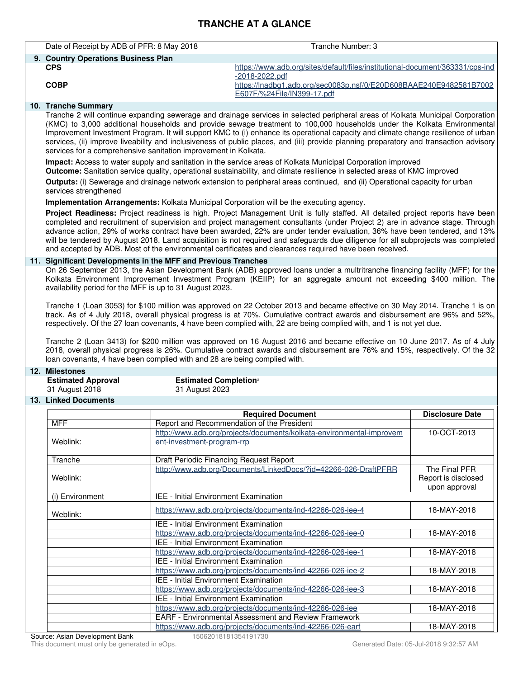#### **TRANCHE AT A GLANCE**

| Date of Receipt by ADB of PFR: 8 May 2018 | Tranche Number: 3                                                                                |
|-------------------------------------------|--------------------------------------------------------------------------------------------------|
| 9. Country Operations Business Plan       |                                                                                                  |
| <b>CPS</b>                                | https://www.adb.org/sites/default/files/institutional-document/363331/cps-ind<br>-2018-2022.pdf  |
| <b>COBP</b>                               | https://lnadbg1.adb.org/sec0083p.nsf/0/E20D608BAAE240E9482581B7002<br>E607F/%24File/IN399-17.pdf |
| 10 Tranche Summary                        |                                                                                                  |

#### **10. Tranche Summary**

Tranche 2 will continue expanding sewerage and drainage services in selected peripheral areas of Kolkata Municipal Corporation (KMC) to 3,000 additional households and provide sewage treatment to 100,000 households under the Kolkata Environmental Improvement Investment Program. It will support KMC to (i) enhance its operational capacity and climate change resilience of urban services, (ii) improve liveability and inclusiveness of public places, and (iii) provide planning preparatory and transaction advisory services for a comprehensive sanitation improvement in Kolkata. **Impact:** Access to water supply and sanitation in the service areas of Kolkata Municipal Corporation improved **Outcome:** Sanitation service quality, operational sustainability, and climate resilience in selected areas of KMC improved **Outputs:** (i) Sewerage and drainage network extension to peripheral areas continued, and (ii) Operational capacity for urban services strengthened **Implementation Arrangements:** Kolkata Municipal Corporation will be the executing agency. **Project Readiness:** Project readiness is high. Project Management Unit is fully staffed. All detailed project reports have been completed and recruitment of supervision and project management consultants (under Project 2) are in advance stage. Through advance action, 29% of works contract have been awarded, 22% are under tender evaluation, 36% have been tendered, and 13% will be tendered by August 2018. Land acquisition is not required and safeguards due diligence for all subprojects was completed and accepted by ADB. Most of the environmental certificates and clearances required have been received. **11. Significant Developments in the MFF and Previous Tranches** On 26 September 2013, the Asian Development Bank (ADB) approved loans under a multritranche financing facility (MFF) for the Kolkata Environment Improvement Investment Program (KEIIP) for an aggregate amount not exceeding \$400 million. The availability period for the MFF is up to 31 August 2023. Tranche 1 (Loan 3053) for \$100 million was approved on 22 October 2013 and became effective on 30 May 2014. Tranche 1 is on track. As of 4 July 2018, overall physical progress is at 70%. Cumulative contract awards and disbursement are 96% and 52%, respectively. Of the 27 loan covenants, 4 have been complied with, 22 are being complied with, and 1 is not yet due. Tranche 2 (Loan 3413) for \$200 million was approved on 16 August 2016 and became effective on 10 June 2017. As of 4 July 2018, overall physical progress is 26%. Cumulative contract awards and disbursement are 76% and 15%, respectively. Of the 32 loan covenants, 4 have been complied with and 28 are being complied with. **12. Milestones Estimated Completiona** 31 August 2018 31 August 2023 **13. Linked Documents Required Document Community Community Required Document Community Disclosure Date** MFF Report and Recommendation of the President Weblink: [http://www.adb.org/projects/documents/kolkata-environmental-improvem](http://www.adb.org/projects/documents/kolkata-environmental-improvement-investment-program-rrp) [ent-investment-program-rrp](http://www.adb.org/projects/documents/kolkata-environmental-improvement-investment-program-rrp) 10-OCT-2013 Tranche **Draft Periodic Financing Request Report** Weblink: <http://www.adb.org/Documents/LinkedDocs/?id=42266-026-DraftPFRR> The Final PFR Report is disclosed upon approval

|                                                             | <b>I</b> ICPOIT IS MISCIOSED<br>upon approval |  |  |
|-------------------------------------------------------------|-----------------------------------------------|--|--|
| IEE - Initial Environment Examination                       |                                               |  |  |
| https://www.adb.org/projects/documents/ind-42266-026-iee-4  | 18-MAY-2018                                   |  |  |
| <b>IEE - Initial Environment Examination</b>                |                                               |  |  |
| https://www.adb.org/projects/documents/ind-42266-026-iee-0  | 18-MAY-2018                                   |  |  |
| <b>IEE - Initial Environment Examination</b>                |                                               |  |  |
| https://www.adb.org/projects/documents/ind-42266-026-iee-1  | 18-MAY-2018                                   |  |  |
| <b>IEE - Initial Environment Examination</b>                |                                               |  |  |
| https://www.adb.org/projects/documents/ind-42266-026-iee-2  | 18-MAY-2018                                   |  |  |
| IEE - Initial Environment Examination                       |                                               |  |  |
| https://www.adb.org/projects/documents/ind-42266-026-iee-3  | 18-MAY-2018                                   |  |  |
| <b>IEE - Initial Environment Examination</b>                |                                               |  |  |
| https://www.adb.org/projects/documents/ind-42266-026-iee    | 18-MAY-2018                                   |  |  |
| <b>EARF - Environmental Assessment and Review Framework</b> |                                               |  |  |
| https://www.adb.org/projects/documents/ind-42266-026-earf   | 18-MAY-2018                                   |  |  |
|                                                             |                                               |  |  |